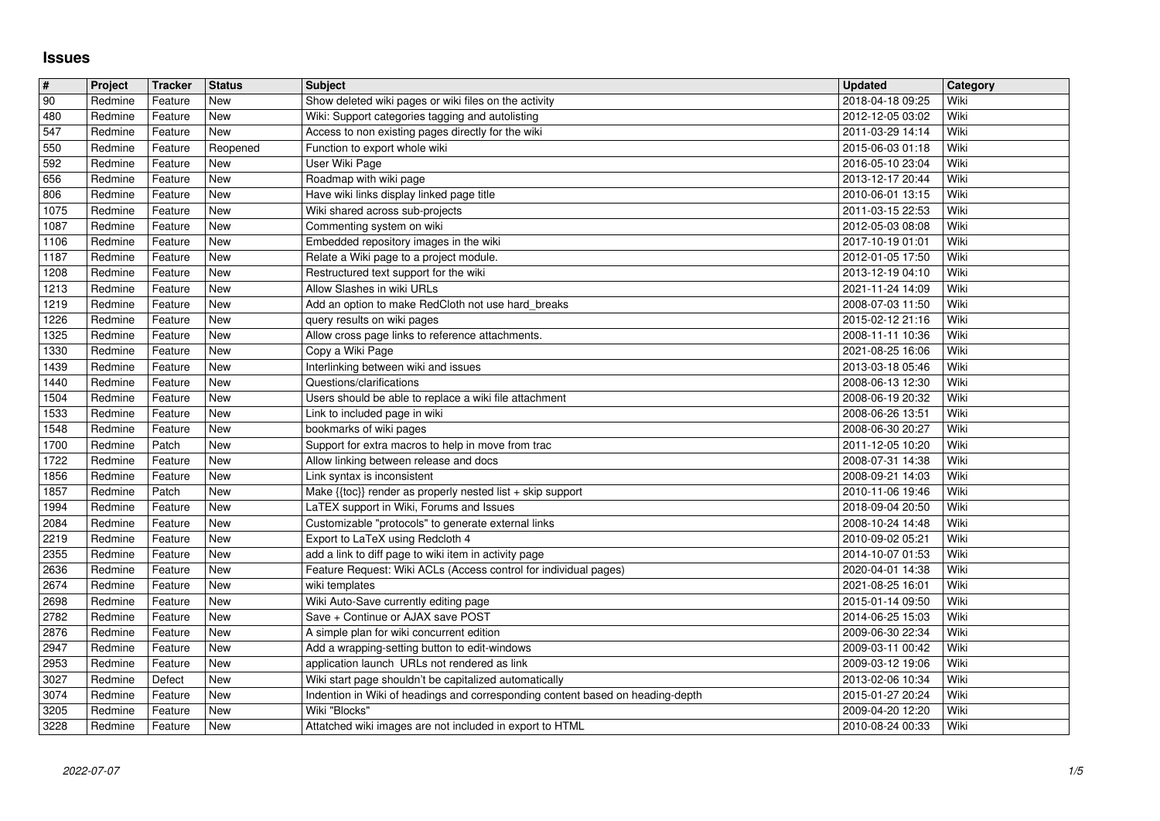## **Issues**

| $\overline{\boldsymbol{t}}$ | Project            | Tracker            | <b>Status</b>     | <b>Subject</b>                                                                     | <b>Updated</b>                       | Category     |
|-----------------------------|--------------------|--------------------|-------------------|------------------------------------------------------------------------------------|--------------------------------------|--------------|
| 90                          | Redmine            | Feature            | <b>New</b>        | Show deleted wiki pages or wiki files on the activity                              | 2018-04-18 09:25                     | Wiki         |
| 480                         | Redmine            | Feature            | New               | Wiki: Support categories tagging and autolisting                                   | 2012-12-05 03:02                     | Wiki         |
| 547                         | Redmine            | Feature            | New               | Access to non existing pages directly for the wiki                                 | 2011-03-29 14:14                     | Wiki         |
| 550<br>592                  | Redmine<br>Redmine | Feature<br>Feature | Reopened<br>New   | Function to export whole wiki<br>User Wiki Page                                    | 2015-06-03 01:18<br>2016-05-10 23:04 | Wiki<br>Wiki |
| 656                         | Redmine            | Feature            | New               | Roadmap with wiki page                                                             | 2013-12-17 20:44                     | Wiki         |
| 806                         | Redmine            | Feature            | New               | Have wiki links display linked page title                                          | 2010-06-01 13:15                     | Wiki         |
| 1075                        | Redmine            | Feature            | New               | Wiki shared across sub-projects                                                    | 2011-03-15 22:53                     | Wiki         |
| 1087                        | Redmine            | Feature            | <b>New</b>        | Commenting system on wiki                                                          | 2012-05-03 08:08                     | Wiki         |
| 1106                        | Redmine            | Feature            | New               | Embedded repository images in the wiki                                             | 2017-10-19 01:01                     | Wiki         |
| 1187                        | Redmine            | Feature            | <b>New</b>        | Relate a Wiki page to a project module.                                            | 2012-01-05 17:50                     | Wiki         |
| 1208                        | Redmine            | Feature            | New               | Restructured text support for the wiki                                             | 2013-12-19 04:10                     | Wiki         |
| 1213<br>1219                | Redmine<br>Redmine | Feature<br>Feature | New<br>New        | Allow Slashes in wiki URLs<br>Add an option to make RedCloth not use hard_breaks   | 2021-11-24 14:09<br>2008-07-03 11:50 | Wiki<br>Wiki |
| 1226                        | Redmine            | Feature            | New               | query results on wiki pages                                                        | 2015-02-12 21:16                     | Wiki         |
| 1325                        | Redmine            | Feature            | New               | Allow cross page links to reference attachments.                                   | 2008-11-11 10:36                     | Wiki         |
| 1330                        | Redmine            | Feature            | New               | Copy a Wiki Page                                                                   | 2021-08-25 16:06                     | Wiki         |
| 1439                        | Redmine            | Feature            | <b>New</b>        | Interlinking between wiki and issues                                               | 2013-03-18 05:46                     | Wiki         |
| 1440                        | Redmine            | Feature            | New               | Questions/clarifications                                                           | 2008-06-13 12:30                     | Wiki         |
| 1504                        | Redmine            | Feature            | New               | Users should be able to replace a wiki file attachment                             | 2008-06-19 20:32                     | Wiki         |
| 1533                        | Redmine            | Feature            | New               | Link to included page in wiki                                                      | 2008-06-26 13:51                     | Wiki         |
| 1548<br>1700                | Redmine<br>Redmine | Feature<br>Patch   | New<br>New        | bookmarks of wiki pages<br>Support for extra macros to help in move from trac      | 2008-06-30 20:27<br>2011-12-05 10:20 | Wiki<br>Wiki |
| 1722                        | Redmine            | Feature            | New               | Allow linking between release and docs                                             | 2008-07-31 14:38                     | Wiki         |
| 1856                        | Redmine            | Feature            | New               | Link syntax is inconsistent                                                        | 2008-09-21 14:03                     | Wiki         |
| 1857                        | Redmine            | Patch              | New               | Make {{toc}} render as properly nested list + skip support                         | 2010-11-06 19:46                     | Wiki         |
| 1994                        | Redmine            | Feature            | New               | LaTEX support in Wiki, Forums and Issues                                           | 2018-09-04 20:50                     | Wiki         |
| 2084                        | Redmine            | Feature            | New               | Customizable "protocols" to generate external links                                | 2008-10-24 14:48                     | Wiki         |
| 2219                        | Redmine            | Feature            | New               | Export to LaTeX using Redcloth 4                                                   | 2010-09-02 05:21                     | Wiki         |
| 2355                        | Redmine            | Feature            | New               | add a link to diff page to wiki item in activity page                              | 2014-10-07 01:53                     | Wiki         |
| 2636<br>2674                | Redmine<br>Redmine | Feature<br>Feature | New<br>New        | Feature Request: Wiki ACLs (Access control for individual pages)<br>wiki templates | 2020-04-01 14:38<br>2021-08-25 16:01 | Wiki<br>Wiki |
| 2698                        | Redmine            | Feature            | New               | Wiki Auto-Save currently editing page                                              | 2015-01-14 09:50                     | Wiki         |
| 2782                        | Redmine            | Feature            | New               | Save + Continue or AJAX save POST                                                  | 2014-06-25 15:03                     | Wiki         |
| 2876                        | Redmine            | Feature            | New               | A simple plan for wiki concurrent edition                                          | 2009-06-30 22:34                     | Wiki         |
| 2947                        | Redmine            | Feature            | New               | Add a wrapping-setting button to edit-windows                                      | 2009-03-11 00:42                     | Wiki         |
| 2953                        | Redmine            | Feature            | New               | application launch URLs not rendered as link                                       | 2009-03-12 19:06                     | Wiki         |
| 3027                        | Redmine            | Defect             | <b>New</b>        | Wiki start page shouldn't be capitalized automatically                             | 2013-02-06 10:34                     | Wiki         |
| 3074                        | Redmine            | Feature            | New               | Indention in Wiki of headings and corresponding content based on heading-depth     | 2015-01-27 20:24                     | Wiki         |
| 3205<br>3228                | Redmine<br>Redmine | Feature<br>Feature | <b>New</b><br>New | Wiki "Blocks"<br>Attatched wiki images are not included in export to HTML          | 2009-04-20 12:20<br>2010-08-24 00:33 | Wiki<br>Wiki |
|                             |                    |                    |                   |                                                                                    |                                      |              |
|                             |                    |                    |                   |                                                                                    |                                      |              |
|                             |                    |                    |                   |                                                                                    |                                      |              |
|                             |                    |                    |                   |                                                                                    |                                      |              |
|                             |                    |                    |                   |                                                                                    |                                      |              |
|                             |                    |                    |                   |                                                                                    |                                      |              |
|                             |                    |                    |                   |                                                                                    |                                      |              |
|                             |                    |                    |                   |                                                                                    |                                      |              |
|                             |                    |                    |                   |                                                                                    |                                      |              |
|                             |                    |                    |                   |                                                                                    |                                      |              |
|                             |                    |                    |                   |                                                                                    |                                      |              |
|                             |                    |                    |                   |                                                                                    |                                      |              |
|                             |                    |                    |                   |                                                                                    |                                      |              |
|                             |                    |                    |                   |                                                                                    |                                      |              |
|                             |                    |                    |                   |                                                                                    |                                      |              |
|                             |                    |                    |                   |                                                                                    |                                      |              |
|                             |                    |                    |                   |                                                                                    |                                      |              |
|                             |                    |                    |                   |                                                                                    |                                      |              |
|                             |                    |                    |                   |                                                                                    |                                      |              |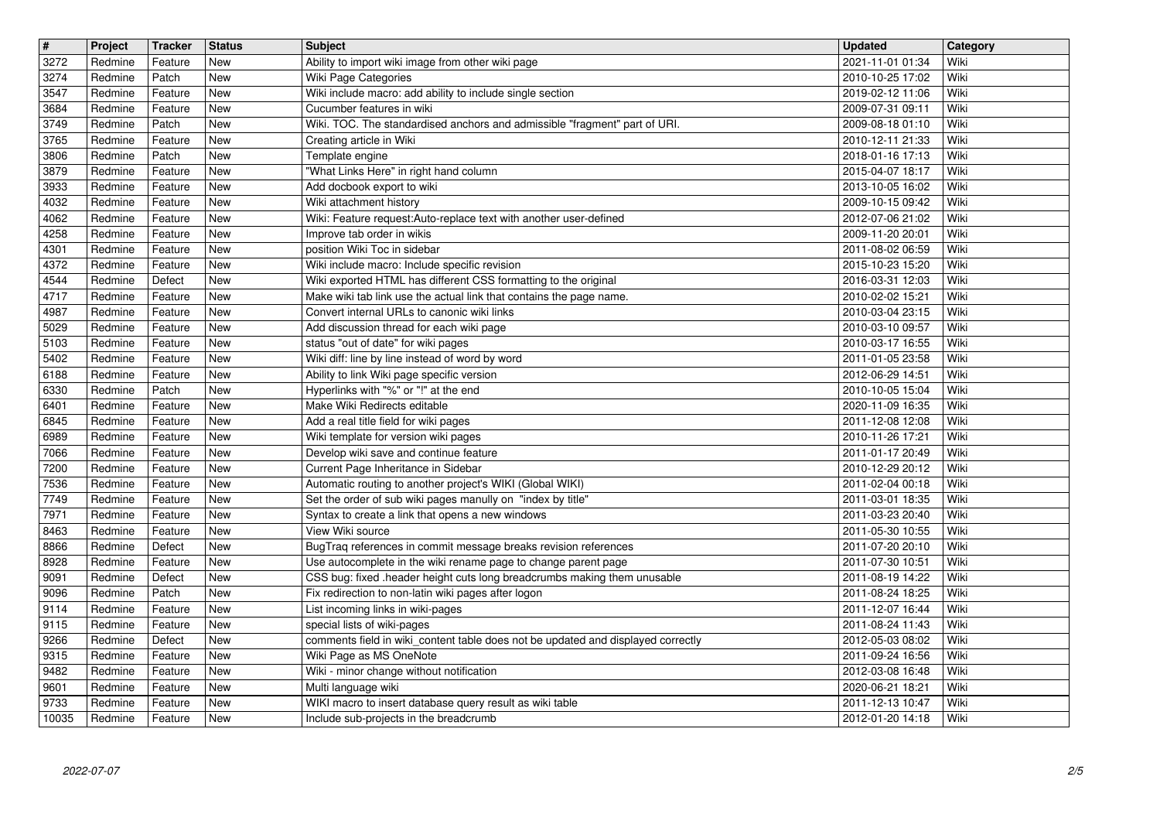| $\overline{\mathbf{t}}$ | Project | <b>Tracker</b> | <b>Status</b> | <b>Subject</b>                                                                   | <b>Updated</b>   | Category |
|-------------------------|---------|----------------|---------------|----------------------------------------------------------------------------------|------------------|----------|
| 3272                    | Redmine | Feature        | New           | Ability to import wiki image from other wiki page                                | 2021-11-01 01:34 | Wiki     |
| 3274                    | Redmine | Patch          | <b>New</b>    | Wiki Page Categories                                                             | 2010-10-25 17:02 | Wiki     |
| 3547                    | Redmine | Feature        | <b>New</b>    | Wiki include macro: add ability to include single section                        | 2019-02-12 11:06 | Wiki     |
| 3684                    | Redmine | Feature        | <b>New</b>    | Cucumber features in wiki                                                        | 2009-07-31 09:11 | Wiki     |
| 3749                    | Redmine | Patch          | New           | Wiki. TOC. The standardised anchors and admissible "fragment" part of URI.       | 2009-08-18 01:10 | Wiki     |
| 3765                    | Redmine | Feature        | New           | Creating article in Wiki                                                         | 2010-12-11 21:33 | Wiki     |
| 3806                    | Redmine | Patch          | <b>New</b>    | Template engine                                                                  | 2018-01-16 17:13 | Wiki     |
| 3879                    | Redmine | Feature        | New           | "What Links Here" in right hand column                                           | 2015-04-07 18:17 | Wiki     |
| 3933                    | Redmine | Feature        | New           | Add docbook export to wiki                                                       | 2013-10-05 16:02 | Wiki     |
| 4032                    | Redmine | Feature        | New           | Wiki attachment history                                                          | 2009-10-15 09:42 | Wiki     |
| 4062                    | Redmine | Feature        | <b>New</b>    | Wiki: Feature request:Auto-replace text with another user-defined                | 2012-07-06 21:02 | Wiki     |
| 4258                    | Redmine | Feature        | <b>New</b>    | Improve tab order in wikis                                                       | 2009-11-20 20:01 | Wiki     |
| 4301                    | Redmine | Feature        | <b>New</b>    | position Wiki Toc in sidebar                                                     | 2011-08-02 06:59 | Wiki     |
| 4372                    | Redmine | Feature        | New           | Wiki include macro: Include specific revision                                    | 2015-10-23 15:20 | Wiki     |
| 4544                    | Redmine | Defect         | New           | Wiki exported HTML has different CSS formatting to the original                  | 2016-03-31 12:03 | Wiki     |
| 4717                    | Redmine | Feature        | New           | Make wiki tab link use the actual link that contains the page name.              | 2010-02-02 15:21 | Wiki     |
| 4987                    | Redmine | Feature        | New           | Convert internal URLs to canonic wiki links                                      | 2010-03-04 23:15 | Wiki     |
| 5029                    | Redmine | Feature        | New           | Add discussion thread for each wiki page                                         | 2010-03-10 09:57 | Wiki     |
| 5103                    | Redmine | Feature        | New           | status "out of date" for wiki pages                                              | 2010-03-17 16:55 | Wiki     |
| 5402                    | Redmine | Feature        | <b>New</b>    | Wiki diff: line by line instead of word by word                                  | 2011-01-05 23:58 | Wiki     |
| 6188                    | Redmine | Feature        | <b>New</b>    | Ability to link Wiki page specific version                                       | 2012-06-29 14:51 | Wiki     |
| 6330                    | Redmine | Patch          | <b>New</b>    | Hyperlinks with "%" or "!" at the end                                            | 2010-10-05 15:04 | Wiki     |
| 6401                    | Redmine | Feature        | New           | Make Wiki Redirects editable                                                     | 2020-11-09 16:35 | Wiki     |
| 6845                    | Redmine | Feature        | New           | Add a real title field for wiki pages                                            | 2011-12-08 12:08 | Wiki     |
| 6989                    | Redmine | Feature        | New           | Wiki template for version wiki pages                                             | 2010-11-26 17:21 | Wiki     |
| 7066                    | Redmine | Feature        | New           | Develop wiki save and continue feature                                           | 2011-01-17 20:49 | Wiki     |
| 7200                    | Redmine | Feature        | New           | Current Page Inheritance in Sidebar                                              | 2010-12-29 20:12 | Wiki     |
| 7536                    | Redmine | Feature        | New           | Automatic routing to another project's WIKI (Global WIKI)                        | 2011-02-04 00:18 | Wiki     |
| 7749                    | Redmine | Feature        | <b>New</b>    | Set the order of sub wiki pages manully on "index by title"                      | 2011-03-01 18:35 | Wiki     |
| 7971                    | Redmine | Feature        | <b>New</b>    | Syntax to create a link that opens a new windows                                 | 2011-03-23 20:40 | Wiki     |
| 8463                    | Redmine | Feature        | New           | View Wiki source                                                                 | 2011-05-30 10:55 | Wiki     |
| 8866                    | Redmine | Defect         | New           | BugTraq references in commit message breaks revision references                  | 2011-07-20 20:10 | Wiki     |
| 8928                    | Redmine | Feature        | New           | Use autocomplete in the wiki rename page to change parent page                   | 2011-07-30 10:51 | Wiki     |
| 9091                    | Redmine | Defect         | <b>New</b>    | CSS bug: fixed .header height cuts long breadcrumbs making them unusable         | 2011-08-19 14:22 | Wiki     |
| 9096                    | Redmine | Patch          | New           | Fix redirection to non-latin wiki pages after logon                              | 2011-08-24 18:25 | Wiki     |
| 9114                    | Redmine | Feature        | New           | List incoming links in wiki-pages                                                | 2011-12-07 16:44 | Wiki     |
| 9115                    | Redmine | Feature        | New           | special lists of wiki-pages                                                      | 2011-08-24 11:43 | Wiki     |
| 9266                    | Redmine | Defect         | New           | comments field in wiki_content table does not be updated and displayed correctly | 2012-05-03 08:02 | Wiki     |
| 9315                    | Redmine | Feature        | New           | Wiki Page as MS OneNote                                                          | 2011-09-24 16:56 | Wiki     |
| 9482                    | Redmine | Feature        | New           | Wiki - minor change without notification                                         | 2012-03-08 16:48 | Wiki     |
| 9601                    | Redmine | Feature        | New           | Multi language wiki                                                              | 2020-06-21 18:21 | Wiki     |
| 9733                    | Redmine | Feature        | New           | WIKI macro to insert database query result as wiki table                         | 2011-12-13 10:47 | Wiki     |
| 10035                   | Redmine | Feature        | New           | Include sub-projects in the breadcrumb                                           | 2012-01-20 14:18 | Wiki     |
|                         |         |                |               |                                                                                  |                  |          |
|                         |         |                |               |                                                                                  |                  |          |
|                         |         |                |               |                                                                                  |                  |          |
|                         |         |                |               |                                                                                  |                  |          |
|                         |         |                |               |                                                                                  |                  |          |
|                         |         |                |               |                                                                                  |                  |          |
|                         |         |                |               |                                                                                  |                  |          |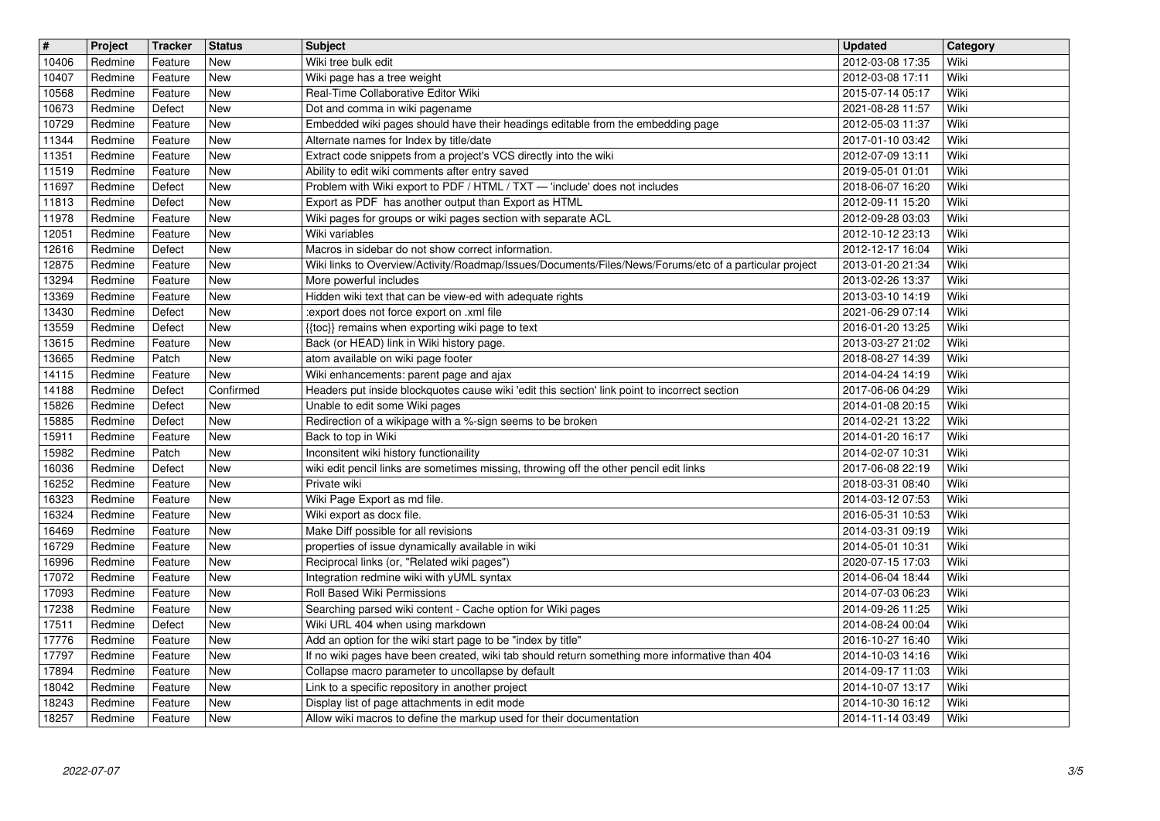| $\sqrt{t}$ | Project | <b>Tracker</b> | <b>Status</b> | <b>Subject</b>                                                                                         | <b>Updated</b>   | Category |
|------------|---------|----------------|---------------|--------------------------------------------------------------------------------------------------------|------------------|----------|
| 10406      | Redmine | Feature        | New           | Wiki tree bulk edit                                                                                    | 2012-03-08 17:35 | Wiki     |
| 10407      | Redmine | Feature        | New           | Wiki page has a tree weight                                                                            | 2012-03-08 17:11 | Wiki     |
| 10568      | Redmine | Feature        | <b>New</b>    | Real-Time Collaborative Editor Wiki                                                                    | 2015-07-14 05:17 | Wiki     |
| 10673      | Redmine | Defect         | New           | Dot and comma in wiki pagename                                                                         | 2021-08-28 11:57 | Wiki     |
| 10729      | Redmine | Feature        | New           | Embedded wiki pages should have their headings editable from the embedding page                        | 2012-05-03 11:37 | Wiki     |
| 11344      | Redmine | Feature        | New           | Alternate names for Index by title/date                                                                | 2017-01-10 03:42 | Wiki     |
| 11351      | Redmine | Feature        | New           | Extract code snippets from a project's VCS directly into the wiki                                      | 2012-07-09 13:11 | Wiki     |
| 11519      | Redmine | Feature        | New           | Ability to edit wiki comments after entry saved                                                        | 2019-05-01 01:01 | Wiki     |
| 11697      | Redmine | Defect         | New           | Problem with Wiki export to PDF / HTML / TXT - 'include' does not includes                             | 2018-06-07 16:20 | Wiki     |
| 11813      | Redmine | Defect         | New           | Export as PDF has another output than Export as HTML                                                   | 2012-09-11 15:20 | Wiki     |
| 11978      | Redmine | Feature        | New           | Wiki pages for groups or wiki pages section with separate ACL                                          | 2012-09-28 03:03 | Wiki     |
| 12051      | Redmine | Feature        | <b>New</b>    | Wiki variables                                                                                         | 2012-10-12 23:13 | Wiki     |
| 12616      | Redmine | Defect         | New           | Macros in sidebar do not show correct information.                                                     | 2012-12-17 16:04 | Wiki     |
| 12875      | Redmine | Feature        | New           | Wiki links to Overview/Activity/Roadmap/Issues/Documents/Files/News/Forums/etc of a particular project | 2013-01-20 21:34 | Wiki     |
| 13294      | Redmine | Feature        | New           | More powerful includes                                                                                 | 2013-02-26 13:37 | Wiki     |
| 13369      | Redmine | Feature        | New           | Hidden wiki text that can be view-ed with adequate rights                                              | 2013-03-10 14:19 | Wiki     |
| 13430      | Redmine | Defect         | New           | :export does not force export on .xml file                                                             | 2021-06-29 07:14 | Wiki     |
| 13559      | Redmine | Defect         | New           | {{toc}} remains when exporting wiki page to text                                                       | 2016-01-20 13:25 | Wiki     |
| 13615      | Redmine | Feature        | New           | Back (or HEAD) link in Wiki history page.                                                              | 2013-03-27 21:02 | Wiki     |
| 13665      | Redmine | Patch          | New           | atom available on wiki page footer                                                                     | 2018-08-27 14:39 | Wiki     |
| 14115      | Redmine | Feature        | New           | Wiki enhancements: parent page and ajax                                                                | 2014-04-24 14:19 | Wiki     |
| 14188      | Redmine | Defect         | Confirmed     | Headers put inside blockquotes cause wiki 'edit this section' link point to incorrect section          | 2017-06-06 04:29 | Wiki     |
| 15826      | Redmine | Defect         | New           | Unable to edit some Wiki pages                                                                         | 2014-01-08 20:15 | Wiki     |
| 15885      | Redmine | Defect         | New           | Redirection of a wikipage with a %-sign seems to be broken                                             | 2014-02-21 13:22 | Wiki     |
| 15911      | Redmine | Feature        | New           | Back to top in Wiki                                                                                    | 2014-01-20 16:17 | Wiki     |
| 15982      | Redmine | Patch          | New           | Inconsitent wiki history functionaility                                                                | 2014-02-07 10:31 | Wiki     |
| 16036      | Redmine | Defect         | New           | wiki edit pencil links are sometimes missing, throwing off the other pencil edit links                 | 2017-06-08 22:19 | Wiki     |
| 16252      | Redmine | Feature        | New           | Private wiki                                                                                           | 2018-03-31 08:40 | Wiki     |
| 16323      | Redmine | Feature        | New           | Wiki Page Export as md file.                                                                           | 2014-03-12 07:53 | Wiki     |
| 16324      | Redmine | Feature        | New           | Wiki export as docx file.                                                                              | 2016-05-31 10:53 | Wiki     |
| 16469      | Redmine | Feature        | New           | Make Diff possible for all revisions                                                                   | 2014-03-31 09:19 | Wiki     |
| 16729      | Redmine | Feature        | New           | properties of issue dynamically available in wiki                                                      | 2014-05-01 10:31 | Wiki     |
| 16996      | Redmine | Feature        | New           | Reciprocal links (or, "Related wiki pages")                                                            | 2020-07-15 17:03 | Wiki     |
| 17072      | Redmine | Feature        | New           | Integration redmine wiki with yUML syntax                                                              | 2014-06-04 18:44 | Wiki     |
| 17093      | Redmine | Feature        | New           | Roll Based Wiki Permissions                                                                            | 2014-07-03 06:23 | Wiki     |
| 17238      | Redmine | Feature        | New           | Searching parsed wiki content - Cache option for Wiki pages                                            | 2014-09-26 11:25 | Wiki     |
| 17511      | Redmine | Defect         | New           | Wiki URL 404 when using markdown                                                                       | 2014-08-24 00:04 | Wiki     |
| 17776      | Redmine | Feature        | New           | Add an option for the wiki start page to be "index by title"                                           | 2016-10-27 16:40 | Wiki     |
| 17797      | Redmine | Feature        | New           | If no wiki pages have been created, wiki tab should return something more informative than 404         | 2014-10-03 14:16 | Wiki     |
| 17894      | Redmine | Feature        | New           | Collapse macro parameter to uncollapse by default                                                      | 2014-09-17 11:03 | Wiki     |
| 18042      | Redmine | Feature        | New           | Link to a specific repository in another project                                                       | 2014-10-07 13:17 | Wiki     |
| 18243      | Redmine | Feature        | New           | Display list of page attachments in edit mode                                                          | 2014-10-30 16:12 | Wiki     |
| 18257      | Redmine | Feature        | New           | Allow wiki macros to define the markup used for their documentation                                    | 2014-11-14 03:49 | Wiki     |
|            |         |                |               |                                                                                                        |                  |          |
|            |         |                |               |                                                                                                        |                  |          |
|            |         |                |               |                                                                                                        |                  |          |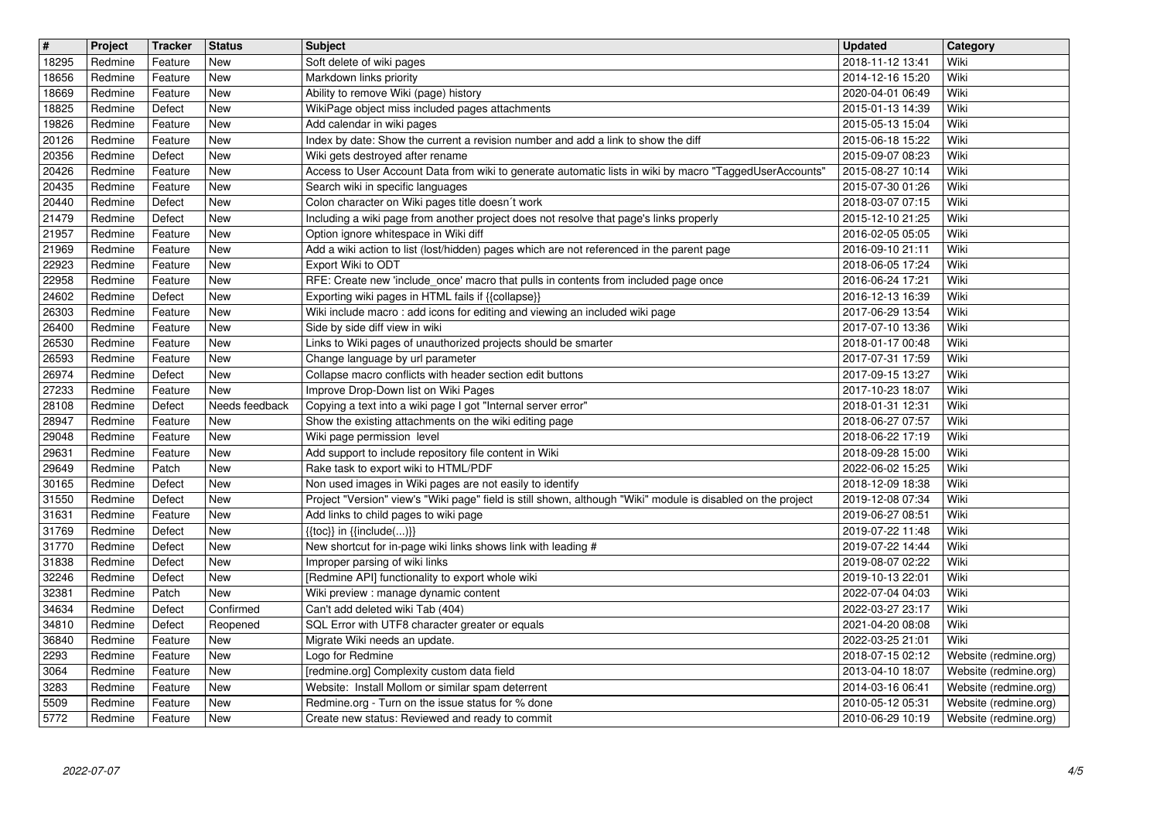| $\overline{\mathbf{H}}$ | Project | Tracker | <b>Status</b>  | <b>Subject</b>                                                                                               | <b>Updated</b>   | Category              |
|-------------------------|---------|---------|----------------|--------------------------------------------------------------------------------------------------------------|------------------|-----------------------|
| 18295                   | Redmine | Feature | New            | Soft delete of wiki pages                                                                                    | 2018-11-12 13:41 | Wiki                  |
| 18656                   | Redmine | Feature | New            | Markdown links priority                                                                                      | 2014-12-16 15:20 | Wiki                  |
| 18669                   | Redmine | Feature | <b>New</b>     | Ability to remove Wiki (page) history                                                                        | 2020-04-01 06:49 | Wiki                  |
| 18825                   | Redmine | Defect  | <b>New</b>     | WikiPage object miss included pages attachments                                                              | 2015-01-13 14:39 | Wiki                  |
| 19826                   | Redmine | Feature | <b>New</b>     | Add calendar in wiki pages                                                                                   | 2015-05-13 15:04 | Wiki                  |
| 20126                   | Redmine | Feature | <b>New</b>     | Index by date: Show the current a revision number and add a link to show the diff                            | 2015-06-18 15:22 | Wiki                  |
| 20356                   | Redmine | Defect  | New            | Wiki gets destroyed after rename                                                                             | 2015-09-07 08:23 | Wiki                  |
| 20426                   | Redmine | Feature | New            | Access to User Account Data from wiki to generate automatic lists in wiki by macro "TaggedUserAccounts'      | 2015-08-27 10:14 | Wiki                  |
| 20435                   | Redmine | Feature | New            | Search wiki in specific languages                                                                            | 2015-07-30 01:26 | Wiki                  |
| 20440                   | Redmine | Defect  | New            | Colon character on Wiki pages title doesn't work                                                             | 2018-03-07 07:15 | Wiki                  |
| 21479                   | Redmine | Defect  | <b>New</b>     | Including a wiki page from another project does not resolve that page's links properly                       | 2015-12-10 21:25 | Wiki                  |
| 21957                   | Redmine | Feature | <b>New</b>     | Option ignore whitespace in Wiki diff                                                                        | 2016-02-05 05:05 | Wiki                  |
| 21969                   | Redmine | Feature | New            | Add a wiki action to list (lost/hidden) pages which are not referenced in the parent page                    | 2016-09-10 21:11 | Wiki                  |
| 22923                   | Redmine | Feature | New            | Export Wiki to ODT                                                                                           | 2018-06-05 17:24 | Wiki                  |
| 22958                   | Redmine | Feature | <b>New</b>     | RFE: Create new 'include_once' macro that pulls in contents from included page once                          | 2016-06-24 17:21 | Wiki                  |
| 24602                   | Redmine | Defect  | New            | Exporting wiki pages in HTML fails if {{collapse}}                                                           | 2016-12-13 16:39 | Wiki                  |
| 26303                   | Redmine | Feature | New            | Wiki include macro : add icons for editing and viewing an included wiki page                                 | 2017-06-29 13:54 | Wiki                  |
| 26400                   | Redmine | Feature | New            | Side by side diff view in wiki                                                                               | 2017-07-10 13:36 | Wiki                  |
| 26530                   | Redmine | Feature | New            | Links to Wiki pages of unauthorized projects should be smarter                                               | 2018-01-17 00:48 | Wiki                  |
| 26593                   | Redmine | Feature | <b>New</b>     | Change language by url parameter                                                                             | 2017-07-31 17:59 | Wiki                  |
| 26974                   | Redmine | Defect  | New            | Collapse macro conflicts with header section edit buttons                                                    | 2017-09-15 13:27 | Wiki                  |
| 27233                   | Redmine | Feature | <b>New</b>     | Improve Drop-Down list on Wiki Pages                                                                         | 2017-10-23 18:07 | Wiki                  |
| 28108                   | Redmine | Defect  | Needs feedback | Copying a text into a wiki page I got "Internal server error"                                                | 2018-01-31 12:31 | Wiki                  |
| 28947                   | Redmine | Feature | New            | Show the existing attachments on the wiki editing page                                                       | 2018-06-27 07:57 | Wiki                  |
| 29048                   | Redmine | Feature | New            | Wiki page permission level                                                                                   | 2018-06-22 17:19 | Wiki                  |
| 29631                   | Redmine | Feature | New            | Add support to include repository file content in Wiki                                                       | 2018-09-28 15:00 | Wiki                  |
| 29649                   | Redmine | Patch   | <b>New</b>     | Rake task to export wiki to HTML/PDF                                                                         | 2022-06-02 15:25 | Wiki                  |
| 30165                   | Redmine | Defect  | <b>New</b>     | Non used images in Wiki pages are not easily to identify                                                     | 2018-12-09 18:38 | Wiki                  |
| 31550                   | Redmine | Defect  | <b>New</b>     | Project "Version" view's "Wiki page" field is still shown, although "Wiki" module is disabled on the project | 2019-12-08 07:34 | Wiki                  |
| 31631                   | Redmine | Feature | <b>New</b>     | Add links to child pages to wiki page                                                                        | 2019-06-27 08:51 | Wiki                  |
| 31769                   | Redmine | Defect  | New            | $\{\{\textsf{toc}\}\}\$ in $\{\{\textsf{include}()\}\}$                                                      | 2019-07-22 11:48 | Wiki                  |
| 31770                   | Redmine | Defect  | New            | New shortcut for in-page wiki links shows link with leading #                                                | 2019-07-22 14:44 | Wiki                  |
| 31838                   | Redmine | Defect  | <b>New</b>     | Improper parsing of wiki links                                                                               | 2019-08-07 02:22 | Wiki                  |
| 32246                   | Redmine | Defect  | <b>New</b>     | [Redmine API] functionality to export whole wiki                                                             | 2019-10-13 22:01 | Wiki                  |
| 32381                   | Redmine | Patch   | <b>New</b>     | Wiki preview : manage dynamic content                                                                        | 2022-07-04 04:03 | Wiki                  |
| 34634                   | Redmine | Defect  | Confirmed      | Can't add deleted wiki Tab (404)                                                                             | 2022-03-27 23:17 | Wiki                  |
| 34810                   | Redmine | Defect  | Reopened       | SQL Error with UTF8 character greater or equals                                                              | 2021-04-20 08:08 | Wiki                  |
| 36840                   | Redmine | Feature | New            | Migrate Wiki needs an update.                                                                                | 2022-03-25 21:01 | Wiki                  |
| 2293                    | Redmine | Feature | New            | Logo for Redmine                                                                                             | 2018-07-15 02:12 | Website (redmine.org) |
| 3064                    | Redmine | Feature | New            | [redmine.org] Complexity custom data field                                                                   | 2013-04-10 18:07 | Website (redmine.org) |
| 3283                    | Redmine | Feature | New            | Website: Install Mollom or similar spam deterrent                                                            | 2014-03-16 06:41 | Website (redmine.org) |
| 5509                    | Redmine | Feature | New            | Redmine.org - Turn on the issue status for % done                                                            | 2010-05-12 05:31 | Website (redmine.org) |
| 5772                    | Redmine | Feature | New            | Create new status: Reviewed and ready to commit                                                              | 2010-06-29 10:19 | Website (redmine.org) |
|                         |         |         |                |                                                                                                              |                  |                       |
|                         |         |         |                |                                                                                                              |                  |                       |
|                         |         |         |                |                                                                                                              |                  |                       |
|                         |         |         |                |                                                                                                              |                  |                       |
|                         |         |         |                |                                                                                                              |                  |                       |